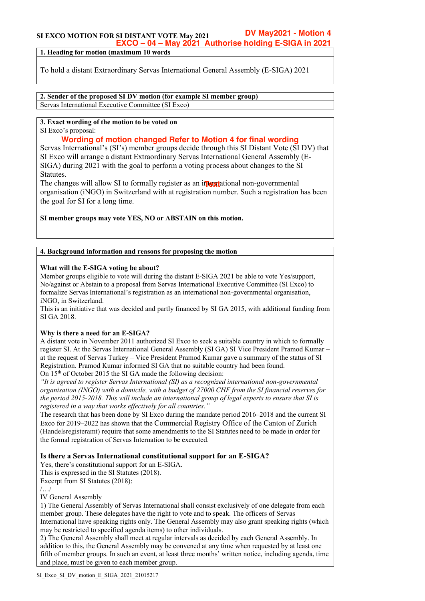#### **SI EXCO MOTION FOR SI DISTANT VOTE May 2021 DV May2021 - Motion 4 EXCO – 04 – May 2021 Authorise holding E-SIGA in 2021**

**1. Heading for motion (maximum 10 words**

To hold a distant Extraordinary Servas International General Assembly (E-SIGA) 2021

**2. Sender of the proposed SI DV motion (for example SI member group)** Servas International Executive Committee (SI Exco)

# **3. Exact wording of the motion to be voted on**

SI Exco's proposal:

# **Wording of motion changed Refer to Motion 4 for final wording**

Servas International's (SI's) member groups decide through this SI Distant Vote (SI DV) that SI Exco will arrange a distant Extraordinary Servas International General Assembly (E-SIGA) during 2021 with the goal to perform a voting process about changes to the SI Statutes.

The changes will allow SI to formally register as an international non-governmental organisation (iNGO) in Switzerland with at registration number. Such a registration has been the goal for SI for a long time.

**SI member groups may vote YES, NO or ABSTAIN on this motion.**

## **4. Background information and reasons for proposing the motion**

## **What will the E-SIGA voting be about?**

Member groups eligible to vote will during the distant E-SIGA 2021 be able to vote Yes/support, No/against or Abstain to a proposal from Servas International Executive Committee (SI Exco) to formalize Servas International's registration as an international non-governmental organisation, iNGO, in Switzerland.

This is an initiative that was decided and partly financed by SI GA 2015, with additional funding from SI GA 2018.

# **Why is there a need for an E-SIGA?**

A distant vote in November 2011 authorized SI Exco to seek a suitable country in which to formally register SI. At the Servas International General Assembly (SI GA) SI Vice President Pramod Kumar – at the request of Servas Turkey – Vice President Pramod Kumar gave a summary of the status of SI Registration. Pramod Kumar informed SI GA that no suitable country had been found. On 15<sup>th</sup> of October 2015 the SI GA made the following decision:

*"It is agreed to register Servas International (SI) as a recognized international non-governmental organisation (INGO) with a domicile, with a budget of 27000 CHF from the SI financial reserves for the period 2015-2018. This will include an international group of legal experts to ensure that SI is registered in a way that works effectively for all countries."*

The research that has been done by SI Exco during the mandate period 2016–2018 and the current SI Exco for 2019–2022 has shown that the Commercial Registry Office of the Canton of Zurich (Handelsregisteramt) require that some amendments to the SI Statutes need to be made in order for the formal registration of Servas Internation to be executed.

# **Is there a Servas International constitutional support for an E-SIGA?**

Yes, there's constitutional support for an E-SIGA.

This is expressed in the SI Statutes (2018).

Excerpt from SI Statutes (2018):

/…/

IV General Assembly

1) The General Assembly of Servas International shall consist exclusively of one delegate from each member group. These delegates have the right to vote and to speak. The officers of Servas International have speaking rights only. The General Assembly may also grant speaking rights (which may be restricted to specified agenda items) to other individuals.

2) The General Assembly shall meet at regular intervals as decided by each General Assembly. In addition to this, the General Assembly may be convened at any time when requested by at least one fifth of member groups. In such an event, at least three months' written notice, including agenda, time and place, must be given to each member group.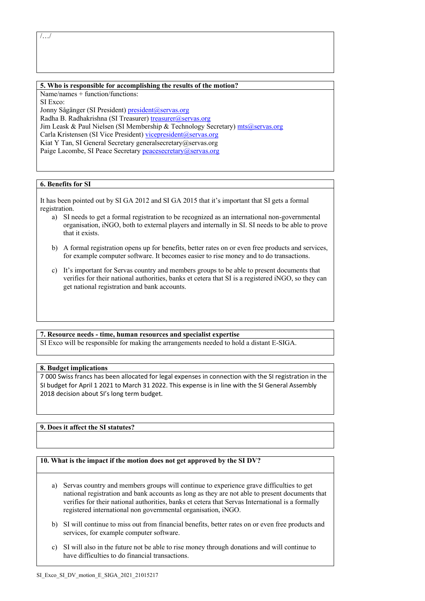/…/

#### **5. Who is responsible for accomplishing the results of the motion?**

Name/names + function/functions: SI Exco:

Jonny Sågänger (SI President) president@servas.org Radha B. Radhakrishna (SI Treasurer) treasurer@servas.org Jim Leask & Paul Nielsen (SI Membership & Technology Secretary) mts@servas.org Carla Kristensen (SI Vice President) vicepresident@servas.org Kiat Y Tan, SI General Secretary generalsecretary@servas.org Paige Lacombe, SI Peace Secretary peacesecretary@servas.org

### **6. Benefits for SI**

It has been pointed out by SI GA 2012 and SI GA 2015 that it's important that SI gets a formal registration.

- a) SI needs to get a formal registration to be recognized as an international non-governmental organisation, iNGO, both to external players and internally in SI. SI needs to be able to prove that it exists.
- b) A formal registration opens up for benefits, better rates on or even free products and services, for example computer software. It becomes easier to rise money and to do transactions.
- c) It's important for Servas country and members groups to be able to present documents that verifies for their national authorities, banks et cetera that SI is a registered iNGO, so they can get national registration and bank accounts.

### **7. Resource needs - time, human resources and specialist expertise**

SI Exco will be responsible for making the arrangements needed to hold a distant E-SIGA.

### **8. Budget implications**

7 000 Swiss francs has been allocated for legal expenses in connection with the SI registration in the SI budget for April 1 2021 to March 31 2022. This expense is in line with the SI General Assembly 2018 decision about SI's long term budget.

## **9. Does it affect the SI statutes?**

### **10. What is the impact if the motion does not get approved by the SI DV?**

- a) Servas country and members groups will continue to experience grave difficulties to get national registration and bank accounts as long as they are not able to present documents that verifies for their national authorities, banks et cetera that Servas International is a formally registered international non governmental organisation, iNGO.
- b) SI will continue to miss out from financial benefits, better rates on or even free products and services, for example computer software.
- c) SI will also in the future not be able to rise money through donations and will continue to have difficulties to do financial transactions.